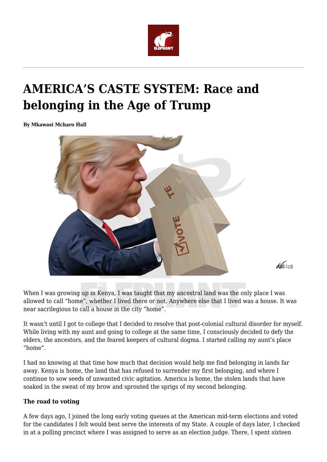

# **AMERICA'S CASTE SYSTEM: Race and belonging in the Age of Trump**

**By Mkawasi Mcharo Hall**



 $462012$ 

When I was growing up in Kenya, I was taught that my ancestral land was the only place I was allowed to call "home", whether I lived there or not. Anywhere else that I lived was a house. It was near sacrilegious to call a house in the city "home".

It wasn't until I got to college that I decided to resolve that post-colonial cultural disorder for myself. While living with my aunt and going to college at the same time, I consciously decided to defy the elders, the ancestors, and the feared keepers of cultural dogma. I started calling my aunt's place "home".

I had no knowing at that time how much that decision would help me find belonging in lands far away. Kenya is home, the land that has refused to surrender my first belonging, and where I continue to sow seeds of unwanted civic agitation. America is home, the stolen lands that have soaked in the sweat of my brow and sprouted the sprigs of my second belonging.

## **The road to voting**

A few days ago, I joined the long early voting queues at the American mid-term elections and voted for the candidates I felt would best serve the interests of my State. A couple of days later, I checked in at a polling precinct where I was assigned to serve as an election judge. There, I spent sixteen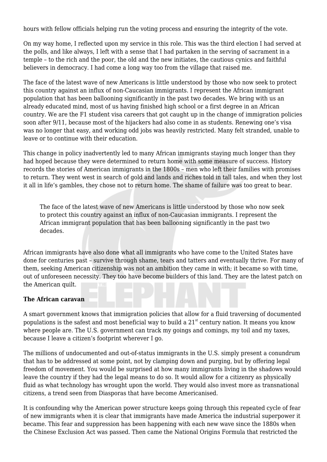hours with fellow officials helping run the voting process and ensuring the integrity of the vote.

On my way home, I reflected upon my service in this role. This was the third election I had served at the polls, and like always, I left with a sense that I had partaken in the serving of sacrament in a temple – to the rich and the poor, the old and the new initiates, the cautious cynics and faithful believers in democracy. I had come a long way too from the village that raised me.

The face of the latest wave of new Americans is little understood by those who now seek to protect this country against an influx of non-Caucasian immigrants. I represent the African immigrant population that has been ballooning significantly in the past two decades. We bring with us an already educated mind, most of us having finished high school or a first degree in an African country. We are the F1 student visa careers that got caught up in the change of immigration policies soon after 9/11, because most of the hijackers had also come in as students. Renewing one's visa was no longer that easy, and working odd jobs was heavily restricted. Many felt stranded, unable to leave or to continue with their education.

This change in policy inadvertently led to many African immigrants staying much longer than they had hoped because they were determined to return home with some measure of success. History records the stories of American immigrants in the 1800s – men who left their families with promises to return. They went west in search of gold and lands and riches told in tall tales, and when they lost it all in life's gambles, they chose not to return home. The shame of failure was too great to bear.

The face of the latest wave of new Americans is little understood by those who now seek to protect this country against an influx of non-Caucasian immigrants. I represent the African immigrant population that has been ballooning significantly in the past two decades.

African immigrants have also done what all immigrants who have come to the United States have done for centuries past – survive through shame, tears and tatters and eventually thrive. For many of them, seeking American citizenship was not an ambition they came in with; it became so with time, out of unforeseen necessity. They too have become builders of this land. They are the latest patch on the American quilt.

## **The African caravan**

A smart government knows that immigration policies that allow for a fluid traversing of documented populations is the safest and most beneficial way to build a  $21<sup>st</sup>$  century nation. It means you know where people are. The U.S. government can track my goings and comings, my toil and my taxes, because I leave a citizen's footprint wherever I go.

The millions of undocumented and out-of-status immigrants in the U.S. simply present a conundrum that has to be addressed at some point, not by clamping down and purging, but by offering legal freedom of movement. You would be surprised at how many immigrants living in the shadows would leave the country if they had the legal means to do so. It would allow for a citizenry as physically fluid as what technology has wrought upon the world. They would also invest more as transnational citizens, a trend seen from Diasporas that have become Americanised.

It is confounding why the American power structure keeps going through this repeated cycle of fear of new immigrants when it is clear that immigrants have made America the industrial superpower it became. This fear and suppression has been happening with each new wave since the 1880s when the Chinese Exclusion Act was passed. Then came the National Origins Formula that restricted the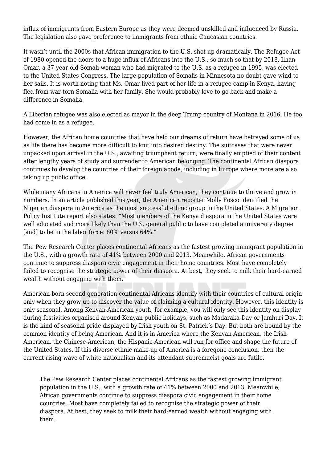influx of immigrants from Eastern Europe as they were deemed unskilled and influenced by Russia. The legislation also gave preference to immigrants from ethnic Caucasian countries.

It wasn't until the 2000s that African immigration to the U.S. shot up dramatically. The Refugee Act of 1980 opened the doors to a huge influx of Africans into the U.S., so much so that by 2018, Ilhan Omar, a 37-year-old Somali woman who had migrated to the U.S. as a refugee in 1995, was elected to the United States Congress. The large population of Somalis in Minnesota no doubt gave wind to her sails. It is worth noting that Ms. Omar lived part of her life in a refugee camp in Kenya, having fled from war-torn Somalia with her family. She would probably love to go back and make a difference in Somalia.

A Liberian refugee was also elected as mayor in the deep Trump country of Montana in 2016. He too had come in as a refugee.

However, the African home countries that have held our dreams of return have betrayed some of us as life there has become more difficult to knit into desired destiny. The suitcases that were never unpacked upon arrival in the U.S., awaiting triumphant return, were finally emptied of their content after lengthy years of study and surrender to American belonging. The continental African diaspora continues to develop the countries of their foreign abode, including in Europe where more are also taking up public office.

While many Africans in America will never feel truly American, they continue to thrive and grow in numbers. In an article published this year, the American reporter Molly Fosco identified the Nigerian diaspora in America as the most successful ethnic group in the United States. A Migration Policy Institute report also states: "Most members of the Kenya diaspora in the United States were well educated and more likely than the U.S. general public to have completed a university degree [and] to be in the labor force: 80% versus 64%."

The Pew Research Center places continental Africans as the fastest growing immigrant population in the U.S., with a growth rate of 41% between 2000 and 2013. Meanwhile, African governments continue to suppress diaspora civic engagement in their home countries. Most have completely failed to recognise the strategic power of their diaspora. At best, they seek to milk their hard-earned wealth without engaging with them.

American-born second generation continental Africans identify with their countries of cultural origin only when they grow up to discover the value of claiming a cultural identity. However, this identity is only seasonal. Among Kenyan-American youth, for example, you will only see this identity on display during festivities organised around Kenyan public holidays, such as Madaraka Day or Jamhuri Day. It is the kind of seasonal pride displayed by Irish youth on St. Patrick's Day. But both are bound by the common identity of being American. And it is in America where the Kenyan-American, the Irish-American, the Chinese-American, the Hispanic-American will run for office and shape the future of the United States. If this diverse ethnic make-up of America is a foregone conclusion, then the current rising wave of white nationalism and its attendant supremacist goals are futile.

The Pew Research Center places continental Africans as the fastest growing immigrant population in the U.S., with a growth rate of 41% between 2000 and 2013. Meanwhile, African governments continue to suppress diaspora civic engagement in their home countries. Most have completely failed to recognise the strategic power of their diaspora. At best, they seek to milk their hard-earned wealth without engaging with them.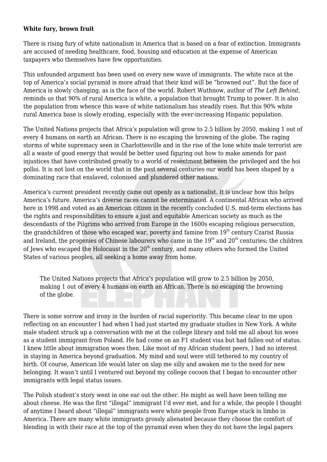#### **White fury, brown fruit**

There is rising fury of white nationalism in America that is based on a fear of extinction. Immigrants are accused of needing healthcare, food, housing and education at the expense of American taxpayers who themselves have few opportunities.

This unfounded argument has been used on every new wave of immigrants. The white race at the top of America's social pyramid is more afraid that their kind will be "browned out". But the face of America is slowly changing, as is the face of the world. Robert Wuthnow, author of *The Left Behind*, reminds us that 90% of rural America is white, a population that brought Trump to power. It is also the population from whence this wave of white nationalism has steadily risen. But this 90% white rural America base is slowly eroding, especially with the ever-increasing Hispanic population.

The United Nations projects that Africa's population will grow to 2.5 billion by 2050, making 1 out of every 4 humans on earth an African. There is no escaping the browning of the globe. The raging storms of white supremacy seen in Charlottesville and in the rise of the lone white male terrorist are all a waste of good energy that would be better used figuring out how to make amends for past injustices that have contributed greatly to a world of resentment between the privileged and the hoi polloi. It is not lost on the world that in the past several centuries our world has been shaped by a dominating race that enslaved, colonised and plundered other nations.

America's current president recently came out openly as a nationalist. It is unclear how this helps America's future. America's diverse races cannot be exterminated. A continental African who arrived here in 1998 and voted as an American citizen in the recently concluded U.S. mid-term elections has the rights and responsibilities to ensure a just and equitable American society as much as the descendants of the Pilgrims who arrived from Europe in the 1600s escaping religious persecution, the grandchildren of those who escaped war, poverty and famine from 19<sup>th</sup> century Czarist Russia and Ireland, the progenies of Chinese labourers who came in the  $19<sup>th</sup>$  and  $20<sup>th</sup>$  centuries; the children of Jews who escaped the Holocaust in the  $20<sup>th</sup>$  century, and many others who formed the United States of various peoples, all seeking a home away from home.

The United Nations projects that Africa's population will grow to 2.5 billion by 2050, making 1 out of every 4 humans on earth an African. There is no escaping the browning of the globe.

There is some sorrow and irony in the burden of racial superiority. This became clear to me upon reflecting on an encounter I had when I had just started my graduate studies in New York. A white male student struck up a conversation with me at the college library and told me all about his woes as a student immigrant from Poland. He had come on an F1 student visa but had fallen out of status. I knew little about immigration woes then. Like most of my African student peers, I had no interest in staying in America beyond graduation. My mind and soul were still tethered to my country of birth. Of course, American life would later on slap me silly and awaken me to the need for new belonging. It wasn't until I ventured out beyond my college cocoon that I began to encounter other immigrants with legal status issues.

The Polish student's story went in one ear out the other. He might as well have been telling me about cheese. He was the first "illegal" immigrant I'd ever met, and for a while, the people I thought of anytime I heard about "illegal" immigrants were white people from Europe stuck in limbo in America. There are many white immigrants grossly alienated because they choose the comfort of blending in with their race at the top of the pyramid even when they do not have the legal papers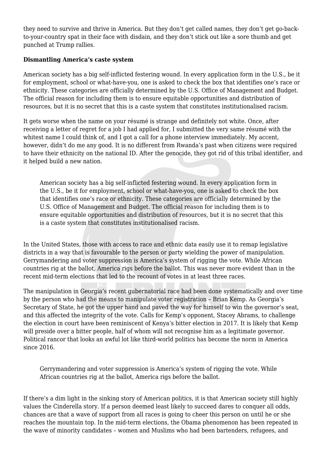they need to survive and thrive in America. But they don't get called names, they don't get go-backto-your-country spat in their face with disdain, and they don't stick out like a sore thumb and get punched at Trump rallies.

# **Dismantling America's caste system**

American society has a big self-inflicted festering wound. In every application form in the U.S., be it for employment, school or what-have-you, one is asked to check the box that identifies one's race or ethnicity. These categories are officially determined by the U.S. Office of Management and Budget. The official reason for including them is to ensure equitable opportunities and distribution of resources, but it is no secret that this is a caste system that constitutes institutionalised racism.

It gets worse when the name on your résumé is strange and definitely not white. Once, after receiving a letter of regret for a job I had applied for, I submitted the very same résumé with the whitest name I could think of, and I got a call for a phone interview immediately. My accent, however, didn't do me any good. It is no different from Rwanda's past when citizens were required to have their ethnicity on the national ID. After the genocide, they got rid of this tribal identifier, and it helped build a new nation.

American society has a big self-inflicted festering wound. In every application form in the U.S., be it for employment, school or what-have-you, one is asked to check the box that identifies one's race or ethnicity. These categories are officially determined by the U.S. Office of Management and Budget. The official reason for including them is to ensure equitable opportunities and distribution of resources, but it is no secret that this is a caste system that constitutes institutionalised racism.

In the United States, those with access to race and ethnic data easily use it to remap legislative districts in a way that is favourable to the person or party wielding the power of manipulation. Gerrymandering and voter suppression is America's system of rigging the vote. While African countries rig at the ballot, America rigs before the ballot. This was never more evident than in the recent mid-term elections that led to the recount of votes in at least three races.

The manipulation in Georgia's recent gubernatorial race had been done systematically and over time by the person who had the means to manipulate voter registration – Brian Kemp. As Georgia's Secretary of State, he got the upper hand and paved the way for himself to win the governor's seat, and this affected the integrity of the vote. Calls for Kemp's opponent, Stacey Abrams, to challenge the election in court have been reminiscent of Kenya's bitter election in 2017. It is likely that Kemp will preside over a bitter people, half of whom will not recognise him as a legitimate governor. Political rancor that looks an awful lot like third-world politics has become the norm in America since 2016.

Gerrymandering and voter suppression is America's system of rigging the vote. While African countries rig at the ballot, America rigs before the ballot.

If there's a dim light in the sinking story of American politics, it is that American society still highly values the Cinderella story. If a person deemed least likely to succeed dares to conquer all odds, chances are that a wave of support from all races is going to cheer this person on until he or she reaches the mountain top. In the mid-term elections, the Obama phenomenon has been repeated in the wave of minority candidates – women and Muslims who had been bartenders, refugees, and